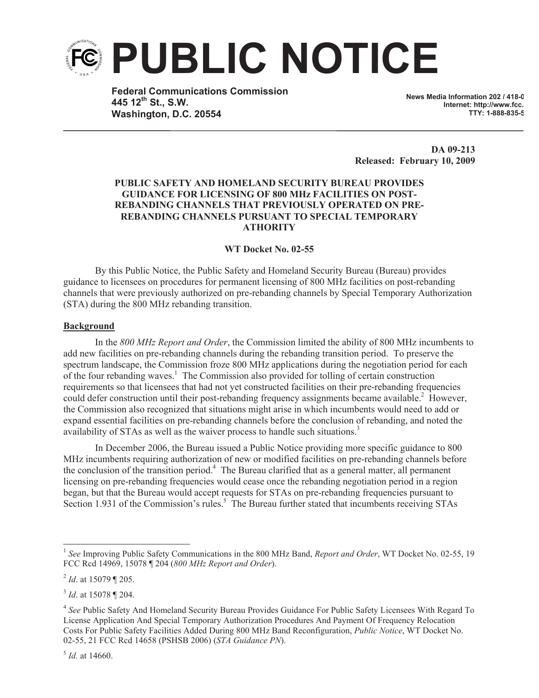

**Federal Communications Commission 445 12th St., S.W. Washington, D.C. 20554**

**News Media Information 202 / 418-0 Internet: http://www.fcc. TTY: 1-888-835-5322**

**DA 09-213 Released: February 10, 2009**

# **PUBLIC SAFETY AND HOMELAND SECURITY BUREAU PROVIDES GUIDANCE FOR LICENSING OF 800 MHz FACILITIES ON POST-REBANDING CHANNELS THAT PREVIOUSLY OPERATED ON PRE-REBANDING CHANNELS PURSUANT TO SPECIAL TEMPORARY ATHORITY**

## **WT Docket No. 02-55**

By this Public Notice, the Public Safety and Homeland Security Bureau (Bureau) provides guidance to licensees on procedures for permanent licensing of 800 MHz facilities on post-rebanding channels that were previously authorized on pre-rebanding channels by Special Temporary Authorization (STA) during the 800 MHz rebanding transition.

#### **Background**

In the *800 MHz Report and Order*, the Commission limited the ability of 800 MHz incumbents to add new facilities on pre-rebanding channels during the rebanding transition period. To preserve the spectrum landscape, the Commission froze 800 MHz applications during the negotiation period for each of the four rebanding waves.<sup>1</sup> The Commission also provided for tolling of certain construction requirements so that licensees that had not yet constructed facilities on their pre-rebanding frequencies could defer construction until their post-rebanding frequency assignments became available.<sup>2</sup> However, the Commission also recognized that situations might arise in which incumbents would need to add or expand essential facilities on pre-rebanding channels before the conclusion of rebanding, and noted the availability of STAs as well as the waiver process to handle such situations.<sup>3</sup>

In December 2006, the Bureau issued a Public Notice providing more specific guidance to 800 MHz incumbents requiring authorization of new or modified facilities on pre-rebanding channels before the conclusion of the transition period.<sup>4</sup> The Bureau clarified that as a general matter, all permanent licensing on pre-rebanding frequencies would cease once the rebanding negotiation period in a region began, but that the Bureau would accept requests for STAs on pre-rebanding frequencies pursuant to Section 1.931 of the Commission's rules.<sup>5</sup> The Bureau further stated that incumbents receiving STAs

<sup>&</sup>lt;sup>1</sup> See Improving Public Safety Communications in the 800 MHz Band, *Report and Order*, WT Docket No. 02-55, 19 FCC Rcd 14969, 15078 ¶ 204 (*800 MHz Report and Order*).

<sup>2</sup> *Id*. at 15079 ¶ 205.

<sup>3</sup> *Id*. at 15078 ¶ 204.

<sup>&</sup>lt;sup>4</sup> See Public Safety And Homeland Security Bureau Provides Guidance For Public Safety Licensees With Regard To License Application And Special Temporary Authorization Procedures And Payment Of Frequency Relocation Costs For Public Safety Facilities Added During 800 MHz Band Reconfiguration, *Public Notice*, WT Docket No. 02-55, 21 FCC Rcd 14658 (PSHSB 2006) (*STA Guidance PN*).

<sup>5</sup> *Id.* at 14660.